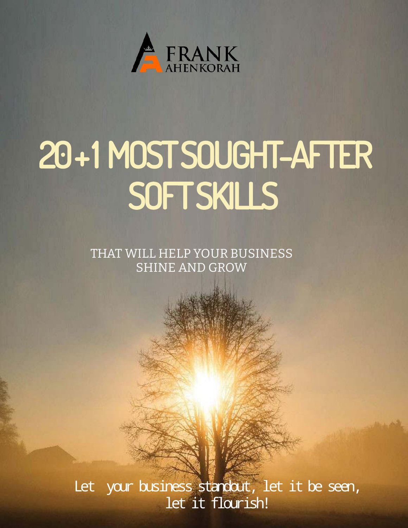

# 20 + 1 MOST SOUGHT-AFTER SOFT SKILLS

THAT WILL HELP YOUR BUSINESS SHINE AND GROW

Let your business standout, let it be seen, let it flourish!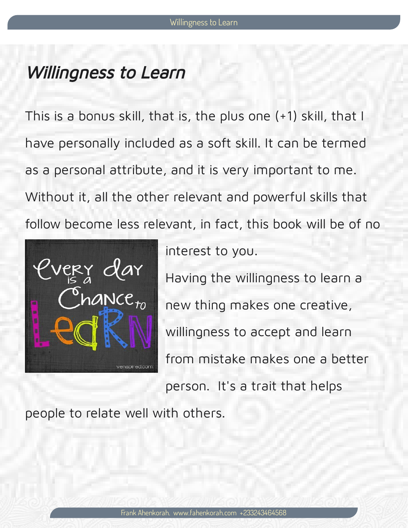## Willingness to Learn

This is a bonus skill, that is, the plus one (+1) skill, that I have personally included as a soft skill. It can be termed as a personal attribute, and it is very important to me. Without it, all the other relevant and powerful skills that follow become less relevant, in fact, this book will be of no



interest to you.

Having the willingness to learn a new thing makes one creative, willingness to accept and learn from mistake makes one a better person. It's a trait that helps

people to relate well with others.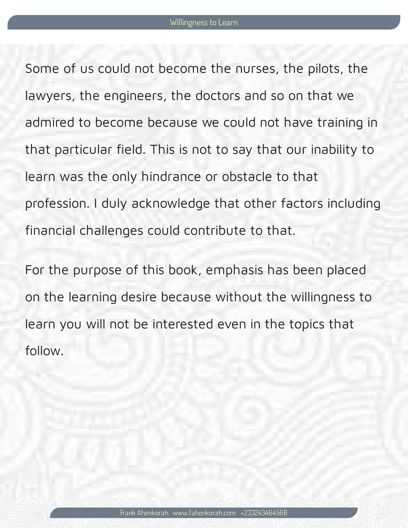Some of us could not become the nurses, the pilots, the lawyers, the engineers, the doctors and so on that we admired to become because we could not have training in that particular field. This is not to say that our inability to learn was the only hindrance or obstacle to that profession. I duly acknowledge that other factors including nancial challenges could contribute to that.

For the purpose of this book, emphasis has been placed on the learning desire because without the willingness to learn you will not be interested even in the topics that follow.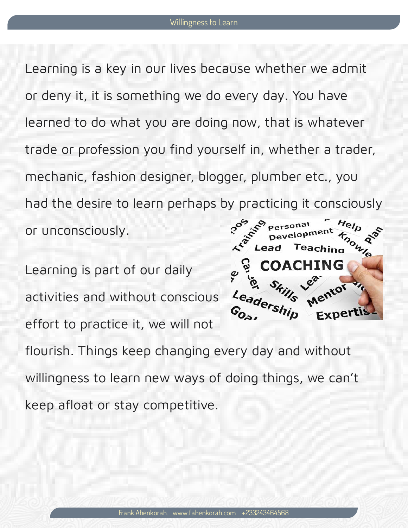Learning is a key in our lives because whether we admit or deny it, it is something we do every day. You have learned to do what you are doing now, that is whatever trade or profession you find yourself in, whether a trader, mechanic, fashion designer, blogger, plumber etc., you had the desire to learn perhaps by practicing it consciously or unconsciously.

Teaching

Learning is part of our daily Mentor Leadership activities and without conscious  $G_{O_{c}}$ Expert effort to practice it, we will not flourish. Things keep changing every day and without willingness to learn new ways of doing things, we can't keep afloat or stay competitive.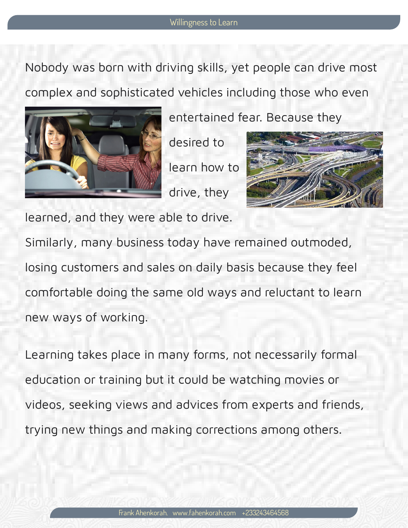Nobody was born with driving skills, yet people can drive most complex and sophisticated vehicles including those who even



entertained fear. Because they

desired to learn how to drive, they



learned, and they were able to drive.

Similarly, many business today have remained outmoded, losing customers and sales on daily basis because they feel comfortable doing the same old ways and reluctant to learn new ways of working.

Learning takes place in many forms, not necessarily formal education or training but it could be watching movies or videos, seeking views and advices from experts and friends, trying new things and making corrections among others.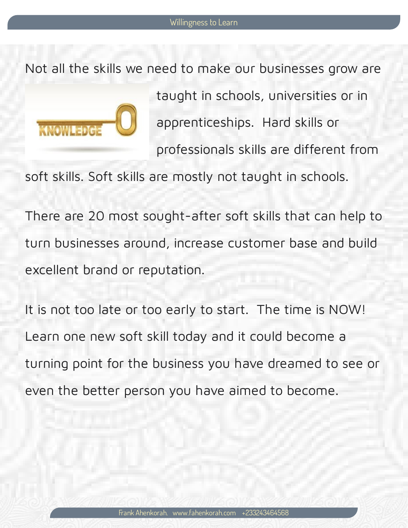Not all the skills we need to make our businesses grow are



taught in schools, universities or in apprenticeships. Hard skills or professionals skills are different from

soft skills. Soft skills are mostly not taught in schools.

There are 20 most sought-after soft skills that can help to turn businesses around, increase customer base and build excellent brand or reputation.

It is not too late or too early to start. The time is NOW! Learn one new soft skill today and it could become a turning point for the business you have dreamed to see or even the better person you have aimed to become.